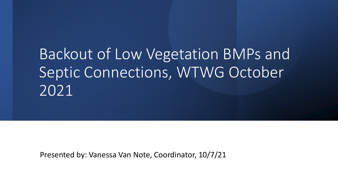# Backout of Low Vegetation BMPs and Septic Connections, WTWG October 2021

Presented by: Vanessa Van Note, Coordinator, 10/7/21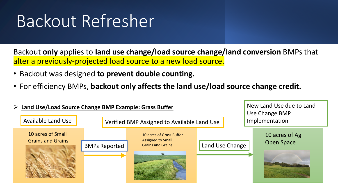# Backout Refresher

Backout **only** applies to **land use change/load source change/land conversion** BMPs that alter a previously-projected load source to a new load source.

- Backout was designed **to prevent double counting.**
- For efficiency BMPs, **backout only affects the land use/load source change credit.**

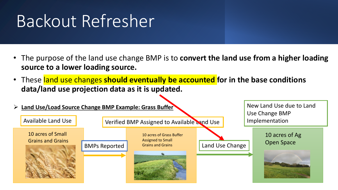# Backout Refresher

- The purpose of the land use change BMP is to **convert the land use from a higher loading source to a lower loading source.**
- These land use changes **should eventually be accounted for in the base conditions data/land use projection data as it is updated.**

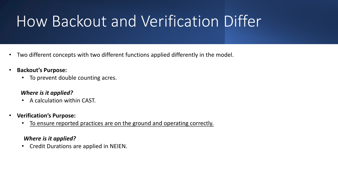# How Backout and Verification Differ

- Two different concepts with two different functions applied differently in the model.
- **Backout's Purpose:**
	- To prevent double counting acres.

### *Where is it applied?*

- A calculation within CAST.
- **Verification's Purpose:**
	- To ensure reported practices are on the ground and operating correctly.

### *Where is it applied?*

• Credit Durations are applied in NEIEN.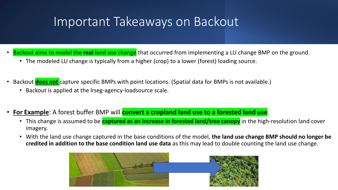## Important Takeaways on Backout

- Backout aims to model the **real** land use change that occurred from implementing a LU change BMP on the ground.
	- The modeled LU change is typically from a higher (crop) to a lower (forest) loading source.
- Backout **does not** capture specific BMPs with point locations. (Spatial data for BMPs is not available.)
	- Backout is applied at the lrseg-agency-loadsource scale.
- **For Example**: A forest buffer BMP will **convert a cropland land use to a forested land use**.
	- This change is assumed to be **captured as an increase in forested land/tree canopy** in the high-resolution land cover imagery.
	- With the land use change captured in the base conditions of the model, **the land use change BMP should no longer be credited in addition to the base condition land use data** as this may lead to double counting the land use change.

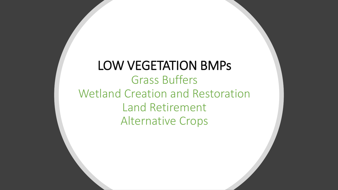## LOW VEGETATION BMPs Grass Buffers Wetland Creation and Restoration Land Retirement Alternative Crops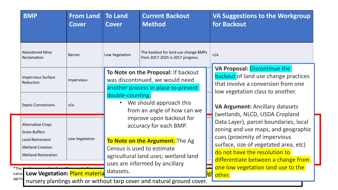| <b>BMP</b>                                                                          | <b>From Land</b><br><b>Cover</b> | <b>To Land</b><br><b>Cover</b>                                                                                                          | <b>Current Backout</b><br><b>Method</b>                                                                       | <b>VA Suggestions to the Workgroup</b><br>for Backout                                                                                                 |
|-------------------------------------------------------------------------------------|----------------------------------|-----------------------------------------------------------------------------------------------------------------------------------------|---------------------------------------------------------------------------------------------------------------|-------------------------------------------------------------------------------------------------------------------------------------------------------|
| <b>Abandoned Mine</b><br>Reclamation                                                | <b>Barren</b>                    | Low Vegetation                                                                                                                          | The backout for land use change BMPs<br>from 2017-2025 is 2017 progress.                                      | n/a                                                                                                                                                   |
| <b>Impervious Surface</b><br>Reduction                                              | Impervious                       | To Note on the Proposal: If backout<br>was discontinued, we would need<br>another process in place to prevent                           |                                                                                                               | VA Proposal: Discontinue the<br><b>backout</b> of land use change practices<br>that involve a conversion from one<br>low vegetation class to another. |
| <b>Septic Connections</b>                                                           | n/a                              | double-counting.                                                                                                                        | We should approach this<br>from an angle of how can we                                                        | <b>VA Argument: Ancillary datasets</b><br>(wetlands, NLCD, USDA Cropland                                                                              |
| <b>Alternative Crops</b><br><b>Grass Buffers</b>                                    |                                  | improve upon backout for<br>accuracy for each BMP.                                                                                      | Data Layer), parcel boundaries, local<br>zoning and use maps, and geographic<br>cues (proximity of impervious |                                                                                                                                                       |
| Land Retirement<br><b>Wetland Creation</b><br><b>Wetland Restoration</b><br>$*$ The | Low Vegetation                   | To Note on the Argument: The Ag<br>Census is used to estimate<br>agricultural land uses; wetland land<br>uses are informed by ancillary |                                                                                                               | surface, size of vegetated area, etc)<br>do not have the resolution to<br>differentiate between a change from<br>one low vegetation land use to the   |
| Low Vegetation: Plant materia<br>natura<br>agricu                                   |                                  | datasets.<br>الممسومية المستطممي اممرم سمريمم امسمع عبراته والجثيب سما والجثيب ممامياتهم والمراريس ومرس                                 |                                                                                                               | other.                                                                                                                                                |

agricu nursery plantings with or without tarp cover and natural ground cover.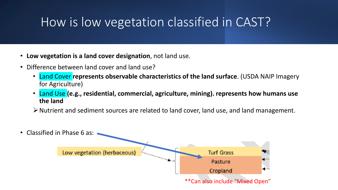## How is low vegetation classified in CAST?

- **Low vegetation is a land cover designation**, not land use.
- Difference between land cover and land use?
	- Land Cover **represents observable characteristics of the land surface**. (USDA NAIP Imagery for Agriculture)
	- Land Use **(e.g., residential, commercial, agriculture, mining). represents how humans use the land**
	- ➢Nutrient and sediment sources are related to land cover, land use, and land management.
- Classified in Phase 6 as:

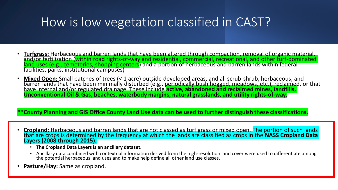## How is low vegetation classified in CAST?

- **Turfgrass:** Herbaceous and barren lands that have been altered through compaction, removal of organic material, and/or fertilization (within road rights-of-way and residential, commercial, recreational, and other turf-dominated land uses (e.g., cemeteries, shopping centers) and a portion of herbaceous and barren lands within federal facilities, parks, institutional campuses)
- **Mixed Open:** Small patches of trees (< 1 acre) outside developed areas, and all scrub-shrub, herbaceous, and barren lands that have been minimally disturbed (e.g., periodically bush hogged, meadows, etc.), reclaimed, or that have internal and/or regulated drainage. These include **active, abandoned and reclaimed mines, landfills, Unconventional Oil & Gas, beaches, waterbody margins, natural grasslands, and utility rights-of-way.**

### **\*\*County Planning and GIS Office County Land Use data can be used to further distinguish these classifications.**

- **Cropland:** Herbaceous and barren lands that are not classed as turf grass or mixed open. The portion of such lands that are crops is determined by the frequency at which the lands are classified as crops in the **NASS Cropland Data Layers (2008 through 2015).**
	- **The Cropland Data Layers is an ancillary dataset.**
	- Ancillary data combined with contextual information derived from the high-resolution land cover were used to differentiate among the potential herbaceous land uses and to make help define all other land use classes.
- **Pasture/Hay:** Same as cropland.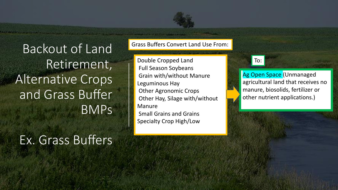Backout of Land Retirement, Alternative Crops and Grass Buffer BMPs

## Ex. Grass Buffers

Grass Buffers Convert Land Use From:

Double Cropped Land Full Season Soybeans Grain with/without Manure Leguminous Hay Other Agronomic Crops Other Hay, Silage with/without Manure Small Grains and Grains

Specialty Crop High/Low

## To:

Ag Open Space (Unmanaged agricultural land that receives no manure, biosolids, fertilizer or other nutrient applications.)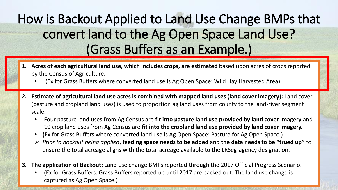# How is Backout Applied to Land Use Change BMPs that convert land to the Ag Open Space Land Use? (Grass Buffers as an Example.)

- **1. Acres of each agricultural land use, which includes crops, are estimated** based upon acres of crops reported by the Census of Agriculture.
	- (Ex for Grass Buffers where converted land use is Ag Open Space: Wild Hay Harvested Area)
- **2. Estimate of agricultural land use acres is combined with mapped land uses (land cover imagery):** Land cover (pasture and cropland land uses) is used to proportion ag land uses from county to the land-river segment scale.
	- Four pasture land uses from Ag Census are **fit into pasture land use provided by land cover imagery** and 10 crop land uses from Ag Census are **fit into the cropland land use provided by land cover imagery.**
	- **(**Ex for Grass Buffers where converted land use is Ag Open Space: Pasture for Ag Open Space.)
	- ➢ *Prior to backout being applied*, **feeding space needs to be added** and **the data needs to be "trued up"** to ensure the total acreage aligns with the total acreage available to the LRSeg-agency designation.
- **3. The application of Backout:** Land use change BMPs reported through the 2017 Official Progress Scenario.
	- (Ex for Grass Buffers: Grass Buffers reported up until 2017 are backed out. The land use change is captured as Ag Open Space.)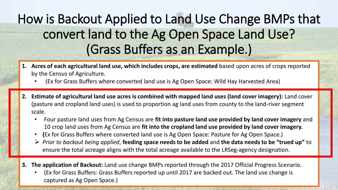# How is Backout Applied to Land Use Change BMPs that convert land to the Ag Open Space Land Use? (Grass Buffers as an Example.)

- by the Census of Agriculture. **Acres of crops, and use, and use, and use, and use, and use, and use, and use, a 1. Acres of each agricultural land use, which includes crops, are estimated** based upon acres of crops reported
	- (Ex for Grass Buffers where converted land use is Ag Open Space: Wild Hay Harvested Area)
- $\epsilon$  (Exchange Grass Buffers Buffers  $\epsilon$  ) and use is  $\epsilon$  and use is  $\epsilon$  and  $\epsilon$  and  $\epsilon$ (pasture and cropland land uses) is used to proportion ag land uses from county to the land-river segment **footprint):** The estimated annual extent of agricultural land uses were approximated from the county level to a<br>In the county level to a gricultural land uses were approximated from the county level to a gricultural land **2. Estimate of agricultural land use acres is combined with mapped land uses (land cover imagery):** Land cover scale.
	- . Four pasture land uses from Ag Census are fit into pasture land use provided by land cover imagery and 10 crop land uses from Ag Census are fit into the cropland land use provided by land cover imagery.
	- **(**Ex for Grass Buffers where converted land use is Ag Open Space: Pasture for Ag Open Space.) **(**Ex for Grass Buffers where converted land use is Ag Open Space: Pasture for Ag Open Space.)
- ensure the total acreage aligns with the total acreage available to the LRSeg-agency designation. ➢ *Prior to backout being applied*, **feeding space needs to be added** and **the data needs to be "trued up"** to
- 3. The application of Backout: Land use change BMPs reported through the 2017 Official Progress Scenario.

 $\mathcal{F}(\mathcal{E})$  is grass Buffers: Grass Buffers reported up until 2017 are backed out. The land use change is grass Buffers reported up use change is grass Buffers of the land use change is grass  $\mathcal{E}(\mathcal{E})$ 

• (Ex for Grass Buffers: Grass Buffers reported up until 2017 are backed out. The land use change is captured as Ag Open Space.)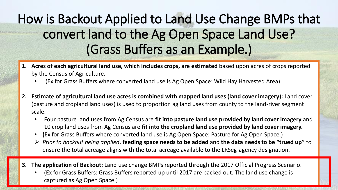# How is Backout Applied to Land Use Change BMPs that convert land to the Ag Open Space Land Use? (Grass Buffers as an Example.)

- by the Census of Agriculture. **Acres of crops, and use, and use, and use, and use, and use, and use, and use, a 1. Acres of each agricultural land use, which includes crops, are estimated** based upon acres of crops reported
	- (Ex for Grass Buffers where converted land use is Ag Open Space: Wild Hay Harvested Area)
- (pasture and cropland land uses) is used to proportion ag land uses from county to the land-river segment  $\boldsymbol{\epsilon}$ scale. Land-rivers were approximated from the county level to land-rivers were approximated from the county level to land-rivers were approximated from the county level to land-rivers were approximated from the co **2. Estimate of agricultural land use acres is combined with mapped land uses (land cover imagery):** Land cover scale.
	- . Four pasture land uses from Ag Census are fit into pasture land use provided by land cover imagery and 10 crop land uses from Ag Census are fit into the cropland land use provided by land cover imagery.
	- **(**Ex for Grass Buffers where converted land use is Ag Open Space: Pasture for Ag Open Space.) **(**Ex for Grass Buffers where converted land use is Ag Open Space: Pasture for Ag Open Space.)
- ensure the total acreage aligns with the total acreage available to the LRSeg-agency designation. ➢ *Prior to backout being applied*, **feeding space needs to be added** and **the data needs to be "trued up"** to
- 3. The application of Backout: Land use change BMPs reported through the 2017 Official Progress Scenario.

 $\mathcal{F}(\mathcal{E})$  are backed up until 2017 are backed out. The land use change is change is change in  $\mathcal{E}(\mathcal{E})$ 

• (Ex for Grass Buffers: Grass Buffers reported up until 2017 are backed out. The land use change is captured as Ag Open Space.)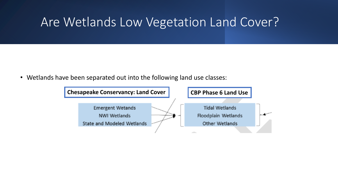## Are Wetlands Low Vegetation Land Cover?

• Wetlands have been separated out into the following land use classes:

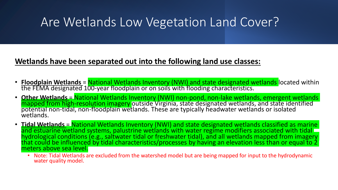## Are Wetlands Low Vegetation Land Cover?

## **Wetlands have been separated out into the following land use classes:**

- **Floodplain Wetlands** = National Wetlands Inventory (NWI) and state designated wetlands located within the FEMA designated 100-year floodplain or on soils with flooding characteristics.
- **Other Wetlands** = National Wetlands Inventory (NWI) non-pond, non-lake wetlands, emergent wetlands mapped from high-resolution imagery outside Virginia, state designated wetlands, and state identified potential non-tidal, non-floodplain wetlands. These are typically headwater wetlands or isolated wetlands.
- **Tidal Wetlands** = National Wetlands Inventory (NWI) and state designated wetlands classified as marine and estuarine wetland systems, palustrine wetlands with water regime modifiers associated with tidal hydrological conditions (e.g., saltwater tidal or freshwater tidal), and all wetlands mapped from imagery that could be influenced by tidal characteristics/processes by having an elevation less than or equal to 2 \, meters above sea level.
	- Note: Tidal Wetlands are excluded from the watershed model but are being mapped for input to the hydrodynamic water quality model.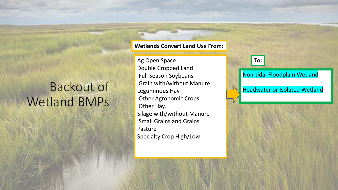## Backout of Wetland BMPs

#### **Wetlands Convert Land Use From:**

Ag Open Space Double Cropped Land Full Season Soybeans Grain with/without Manure Leguminous Hay Other Agronomic Crops Other Hay, Silage with/without Manure Small Grains and Grains Pasture Specialty Crop High/Low



### Non-tidal Floodplain Wetland

Headwater or Isolated Wetland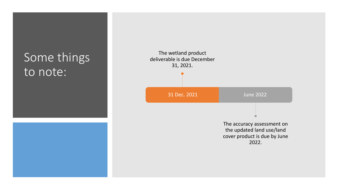## Some things to note:



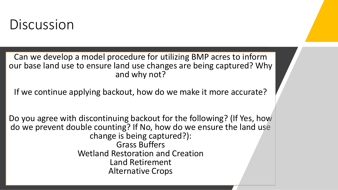# Discussion

Can we develop a model procedure for utilizing BMP acres to inform our base land use to ensure land use changes are being captured? Why and why not?

If we continue applying backout, how do we make it more accurate?

Do you agree with discontinuing backout for the following? (If Yes, how do we prevent double counting? If No, how do we ensure the land use change is being captured?): Grass Buffers Wetland Restoration and Creation Land Retirement Alternative Crops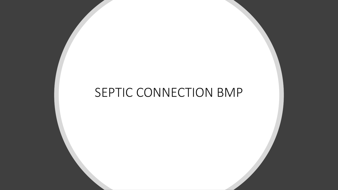## SEPTIC CONNECTION BMP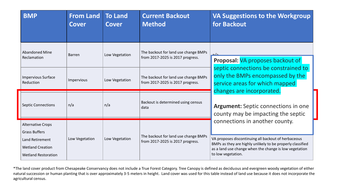| <b>BMP</b>                                                                                                                   | <b>From Land</b><br><b>Cover</b> | <b>To Land</b><br><b>Cover</b> | <b>Current Backout</b><br><b>Method</b>                                  | VA Suggestions to the Workgroup<br>for Backout                                                                                                                                                                                      |
|------------------------------------------------------------------------------------------------------------------------------|----------------------------------|--------------------------------|--------------------------------------------------------------------------|-------------------------------------------------------------------------------------------------------------------------------------------------------------------------------------------------------------------------------------|
| <b>Abandoned Mine</b><br>Reclamation                                                                                         | <b>Barren</b>                    | Low Vegetation                 | The backout for land use change BMPs<br>from 2017-2025 is 2017 progress. | حاج<br>Proposal: VA proposes backout of<br>septic connections be constrained to<br>only the BMPs encompassed by the<br>service areas for which mapped<br>changes are incorporated.                                                  |
| <b>Impervious Surface</b><br>Reduction                                                                                       | Impervious                       | Low Vegetation                 | The backout for land use change BMPs<br>from 2017-2025 is 2017 progress. |                                                                                                                                                                                                                                     |
| <b>Septic Connections</b>                                                                                                    | n/a                              | n/a                            | Backout is determined using census<br>data                               | <b>Argument:</b> Septic connections in one<br>county may be impacting the septic                                                                                                                                                    |
| <b>Alternative Crops</b><br><b>Grass Buffers</b><br>Land Retirement<br><b>Wetland Creation</b><br><b>Wetland Restoration</b> | Low Vegetation                   | Low Vegetation                 | The backout for land use change BMPs<br>from 2017-2025 is 2017 progress. | connections in another county.<br>VA proposes discontinuing all backout of herbaceous<br>BMPs as they are highly unlikely to be properly classified<br>as a land use change when the change is low vegetation<br>to low vegetation. |

\*The land cover product from Chesapeake Conservancy does not include a True Forest Category. Tree Canopy is defined as deciduous and evergreen woody vegetation of either natural succession or human planting that is over approximately 3-5 meters in height. Land cover was used for this table instead of land use because it does not incorporate the agricultural census.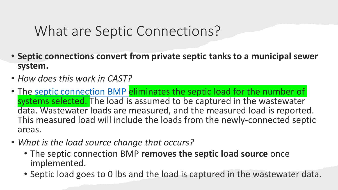# What are Septic Connections?

- **Septic connections convert from private septic tanks to a municipal sewer system.**
- *How does this work in CAST?*
- The [septic connection BMP e](https://cast.chesapeakebay.net/Documentation/Faqs)liminates the septic load for the number of systems selected. The load is assumed to be captured in the wastewater data. Wastewater loads are measured, and the measured load is reported. This measured load will include the loads from the newly-connected septic areas.
- *What is the load source change that occurs?*
	- The septic connection BMP **removes the septic load source** once implemented.
	- Septic load goes to 0 lbs and the load is captured in the wastewater data.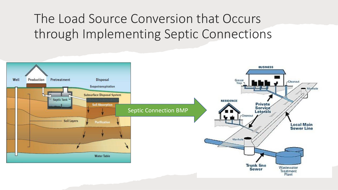## The Load Source Conversion that Occurs through Implementing Septic Connections

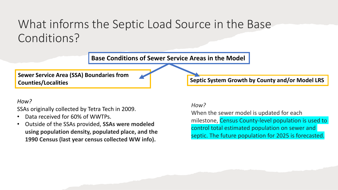## What informs the Septic Load Source in the Base Conditions?



#### *How?*

SSAs originally collected by Tetra Tech in 2009.

- Data received for 60% of WWTPs.
- Outside of the SSAs provided, **SSAs were modeled using population density, populated place, and the 1990 Census (last year census collected WW info).**

#### *How?*

When the sewer model is updated for each milestone, Census County-level population is used to control total estimated population on sewer and septic. The future population for 2025 is forecasted.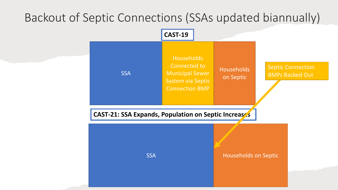## Backout of Septic Connections (SSAs updated biannually)

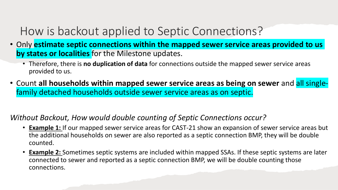## How is backout applied to Septic Connections?

- Only **estimate septic connections within the mapped sewer service areas provided to us by states or localities** for the Milestone updates.
	- Therefore, there is **no duplication of data** for connections outside the mapped sewer service areas provided to us.
- Count **all households within mapped sewer service areas as being on sewer** and all singlefamily detached households outside sewer service areas as on septic.

## *Without Backout, How would double counting of Septic Connections occur?*

- **Example 1:** If our mapped sewer service areas for CAST-21 show an expansion of sewer service areas but the additional households on sewer are also reported as a septic connection BMP, they will be double counted.
- **Example 2:** Sometimes septic systems are included within mapped SSAs. If these septic systems are later connected to sewer and reported as a septic connection BMP, we will be double counting those connections.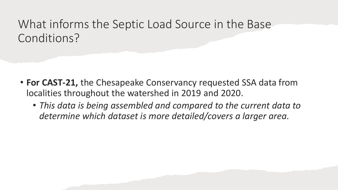## What informs the Septic Load Source in the Base Conditions?

- **For CAST-21,** the Chesapeake Conservancy requested SSA data from localities throughout the watershed in 2019 and 2020.
	- *This data is being assembled and compared to the current data to determine which dataset is more detailed/covers a larger area.*